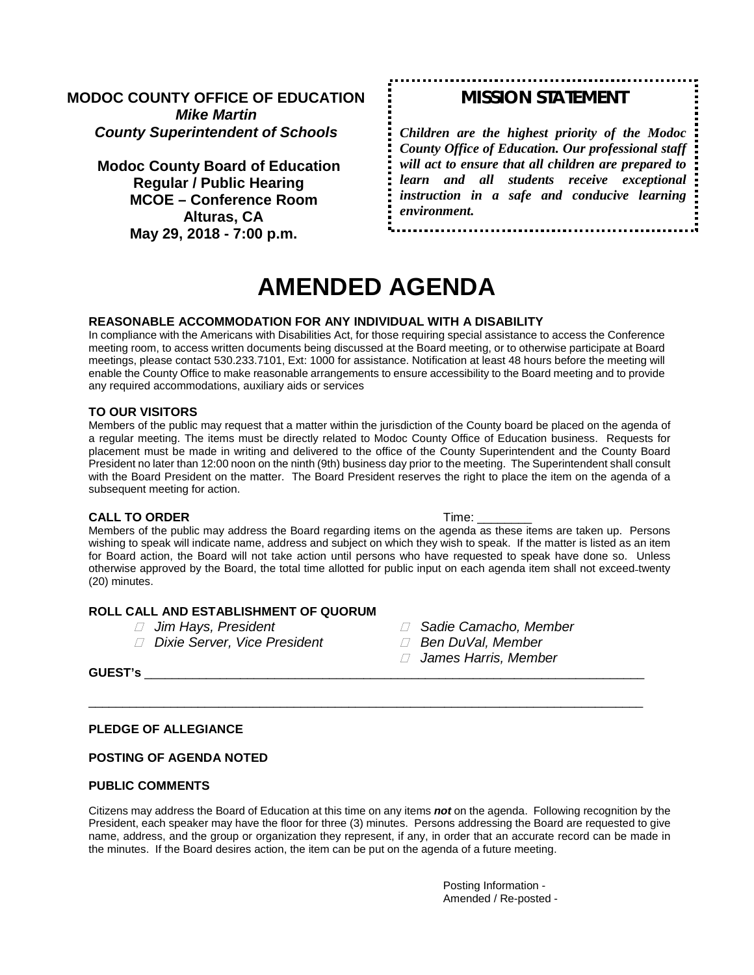### **MODOC COUNTY OFFICE OF EDUCATION** *Mike Martin County Superintendent of Schools*

**Modoc County Board of Education Regular / Public Hearing MCOE – Conference Room Alturas, CA May 29, 2018 - 7:00 p.m.**

## *MISSION STATEMENT*

*Children are the highest priority of the Modoc County Office of Education. Our professional staff will act to ensure that all children are prepared to learn and all students receive exceptional instruction in a safe and conducive learning environment.*

# **AMENDED AGENDA**

#### **REASONABLE ACCOMMODATION FOR ANY INDIVIDUAL WITH A DISABILITY**

In compliance with the Americans with Disabilities Act, for those requiring special assistance to access the Conference meeting room, to access written documents being discussed at the Board meeting, or to otherwise participate at Board meetings, please contact 530.233.7101, Ext: 1000 for assistance. Notification at least 48 hours before the meeting will enable the County Office to make reasonable arrangements to ensure accessibility to the Board meeting and to provide any required accommodations, auxiliary aids or services

#### **TO OUR VISITORS**

Members of the public may request that a matter within the jurisdiction of the County board be placed on the agenda of a regular meeting. The items must be directly related to Modoc County Office of Education business. Requests for placement must be made in writing and delivered to the office of the County Superintendent and the County Board President no later than 12:00 noon on the ninth (9th) business day prior to the meeting. The Superintendent shall consult with the Board President on the matter. The Board President reserves the right to place the item on the agenda of a subsequent meeting for action.

#### **CALL TO ORDER Time:**  $\blacksquare$

Members of the public may address the Board regarding items on the agenda as these items are taken up. Persons wishing to speak will indicate name, address and subject on which they wish to speak. If the matter is listed as an item for Board action, the Board will not take action until persons who have requested to speak have done so. Unless otherwise approved by the Board, the total time allotted for public input on each agenda item shall not exceed twenty (20) minutes.

#### **ROLL CALL AND ESTABLISHMENT OF QUORUM**

- 
- *Jim Hays, President Sadie Camacho, Member Dixie Server, Vice President Ben DuVal, Member*
- -
	- *James Harris, Member*

**GUEST's** \_\_\_\_\_\_\_\_\_\_\_\_\_\_\_\_\_\_\_\_\_\_\_\_\_\_\_\_\_\_\_\_\_\_\_\_\_\_\_\_\_\_\_\_\_\_\_\_\_\_\_\_\_\_\_\_\_\_\_\_\_\_\_\_\_\_\_\_\_\_\_\_\_

#### **PLEDGE OF ALLEGIANCE**

#### **POSTING OF AGENDA NOTED**

#### **PUBLIC COMMENTS**

Citizens may address the Board of Education at this time on any items *not* on the agenda. Following recognition by the President, each speaker may have the floor for three (3) minutes. Persons addressing the Board are requested to give name, address, and the group or organization they represent, if any, in order that an accurate record can be made in the minutes. If the Board desires action, the item can be put on the agenda of a future meeting.

\_\_\_\_\_\_\_\_\_\_\_\_\_\_\_\_\_\_\_\_\_\_\_\_\_\_\_\_\_\_\_\_\_\_\_\_\_\_\_\_\_\_\_\_\_\_\_\_\_\_\_\_\_\_\_\_\_\_\_\_\_\_\_\_\_\_\_\_\_\_\_\_\_\_\_\_\_\_\_\_\_

Posting Information - Amended / Re-posted -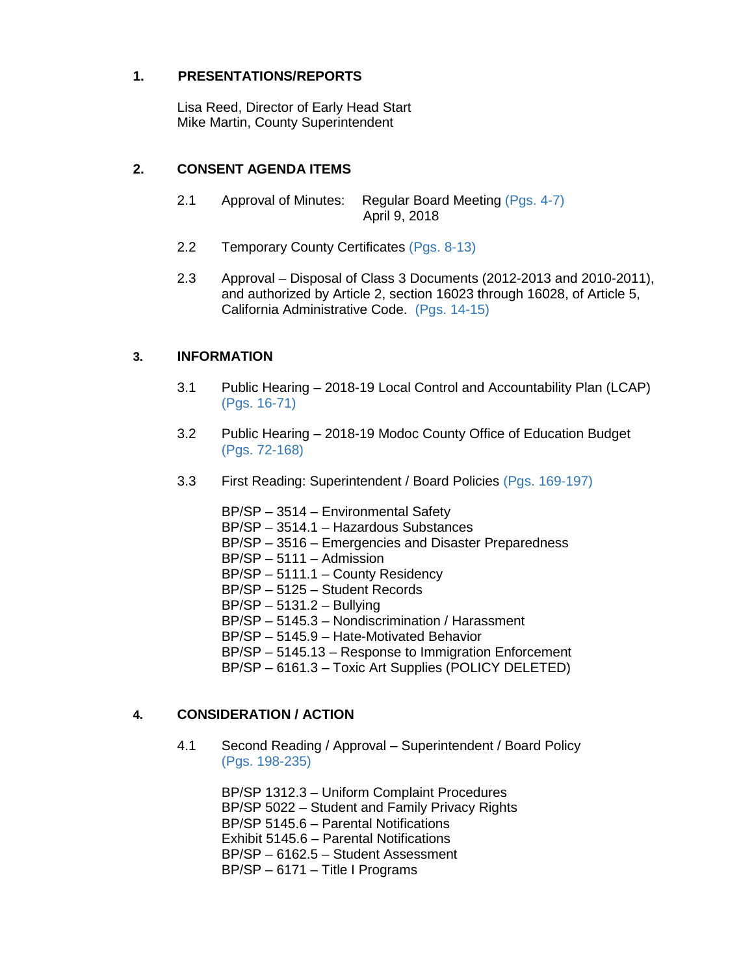## **1. PRESENTATIONS/REPORTS**

Lisa Reed, Director of Early Head Start Mike Martin, County Superintendent

## **2. CONSENT AGENDA ITEMS**

- 2.1 Approval of Minutes: Regular Board Meeting (Pgs. 4-7) April 9, 2018
- 2.2 Temporary County Certificates (Pgs. 8-13)
- 2.3 Approval Disposal of Class 3 Documents (2012-2013 and 2010-2011), and authorized by Article 2, section 16023 through 16028, of Article 5, California Administrative Code. (Pgs. 14-15)

## **3. INFORMATION**

- 3.1 Public Hearing 2018-19 Local Control and Accountability Plan (LCAP) (Pgs. 16-71)
- 3.2 Public Hearing 2018-19 Modoc County Office of Education Budget (Pgs. 72-168)
- 3.3 First Reading: Superintendent / Board Policies (Pgs. 169-197)
	- BP/SP 3514 Environmental Safety BP/SP – 3514.1 – Hazardous Substances BP/SP – 3516 – Emergencies and Disaster Preparedness BP/SP – 5111 – Admission BP/SP – 5111.1 – County Residency BP/SP – 5125 – Student Records BP/SP – 5131.2 – Bullying BP/SP – 5145.3 – Nondiscrimination / Harassment BP/SP – 5145.9 – Hate-Motivated Behavior BP/SP – 5145.13 – Response to Immigration Enforcement BP/SP – 6161.3 – Toxic Art Supplies (POLICY DELETED)

## **4. CONSIDERATION / ACTION**

4.1 Second Reading / Approval – Superintendent / Board Policy (Pgs. 198-235)

> BP/SP 1312.3 – Uniform Complaint Procedures BP/SP 5022 – Student and Family Privacy Rights BP/SP 5145.6 – Parental Notifications Exhibit 5145.6 – Parental Notifications BP/SP – 6162.5 – Student Assessment BP/SP – 6171 – Title I Programs